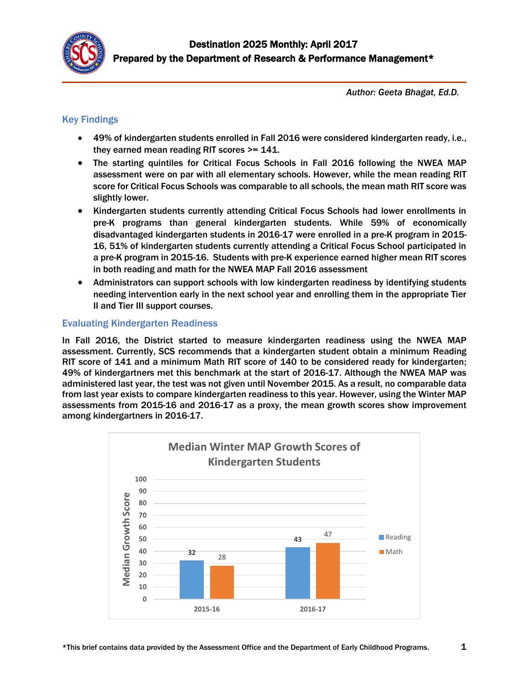

*Author: Geeta Bhagat, Ed.D.*

# Key Findings

- 49% of kindergarten students enrolled in Fall 2016 were considered kindergarten ready, i.e., they earned mean reading RIT scores >= 141.
- The starting quintiles for Critical Focus Schools in Fall 2016 following the NWEA MAP assessment were on par with all elementary schools. However, while the mean reading RIT score for Critical Focus Schools was comparable to all schools, the mean math RIT score was slightly lower.
- Kindergarten students currently attending Critical Focus Schools had lower enrollments in pre-K programs than general kindergarten students. While 59% of economically disadvantaged kindergarten students in 2016-17 were enrolled in a pre-K program in 2015- 16, 51% of kindergarten students currently attending a Critical Focus School participated in a pre-K program in 2015-16. Students with pre-K experience earned higher mean RIT scores in both reading and math for the NWEA MAP Fall 2016 assessment
- Administrators can support schools with low kindergarten readiness by identifying students needing intervention early in the next school year and enrolling them in the appropriate Tier II and Tier III support courses.

## Evaluating Kindergarten Readiness

In Fall 2016, the District started to measure kindergarten readiness using the NWEA MAP assessment. Currently, SCS recommends that a kindergarten student obtain a minimum Reading RIT score of 141 and a minimum Math RIT score of 140 to be considered ready for kindergarten; 49% of kindergartners met this benchmark at the start of 2016-17. Although the NWEA MAP was administered last year, the test was not given until November 2015. As a result, no comparable data from last year exists to compare kindergarten readiness to this year. However, using the Winter MAP assessments from 2015-16 and 2016-17 as a proxy, the mean growth scores show improvement among kindergartners in 2016-17.

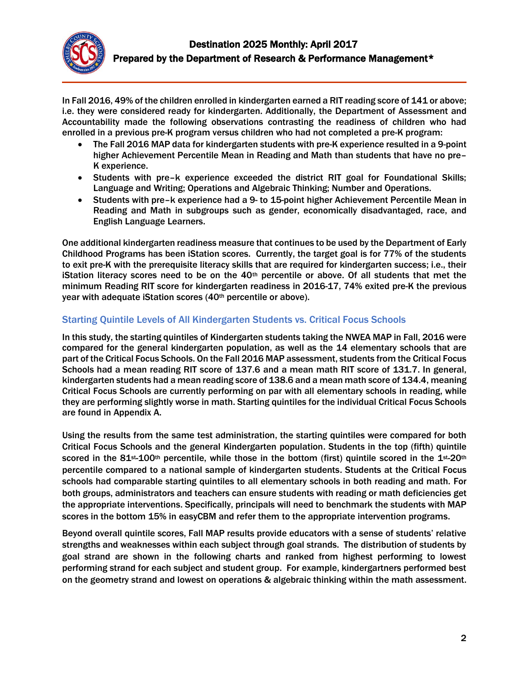

In Fall 2016, 49% of the children enrolled in kindergarten earned a RIT reading score of 141 or above; i.e. they were considered ready for kindergarten. Additionally, the Department of Assessment and Accountability made the following observations contrasting the readiness of children who had enrolled in a previous pre-K program versus children who had not completed a pre-K program:

- The Fall 2016 MAP data for kindergarten students with pre-K experience resulted in a 9-point higher Achievement Percentile Mean in Reading and Math than students that have no pre– K experience.
- Students with pre–k experience exceeded the district RIT goal for Foundational Skills; Language and Writing; Operations and Algebraic Thinking; Number and Operations.
- Students with pre–k experience had a 9- to 15-point higher Achievement Percentile Mean in Reading and Math in subgroups such as gender, economically disadvantaged, race, and English Language Learners.

One additional kindergarten readiness measure that continues to be used by the Department of Early Childhood Programs has been iStation scores. Currently, the target goal is for 77% of the students to exit pre-K with the prerequisite literacy skills that are required for kindergarten success; i.e., their iStation literacy scores need to be on the  $40<sup>th</sup>$  percentile or above. Of all students that met the minimum Reading RIT score for kindergarten readiness in 2016-17, 74% exited pre-K the previous year with adequate iStation scores (40<sup>th</sup> percentile or above).

# Starting Quintile Levels of All Kindergarten Students vs. Critical Focus Schools

In this study, the starting quintiles of Kindergarten students taking the NWEA MAP in Fall, 2016 were compared for the general kindergarten population, as well as the 14 elementary schools that are part of the Critical Focus Schools. On the Fall 2016 MAP assessment, students from the Critical Focus Schools had a mean reading RIT score of 137.6 and a mean math RIT score of 131.7. In general, kindergarten students had a mean reading score of 138.6 and a mean math score of 134.4, meaning Critical Focus Schools are currently performing on par with all elementary schools in reading, while they are performing slightly worse in math. Starting quintiles for the individual Critical Focus Schools are found in Appendix A.

Using the results from the same test administration, the starting quintiles were compared for both Critical Focus Schools and the general Kindergarten population. Students in the top (fifth) quintile scored in the  $81$ <sup>st</sup>-100<sup>th</sup> percentile, while those in the bottom (first) quintile scored in the  $1$ <sup>st</sup>-20<sup>th</sup> percentile compared to a national sample of kindergarten students. Students at the Critical Focus schools had comparable starting quintiles to all elementary schools in both reading and math. For both groups, administrators and teachers can ensure students with reading or math deficiencies get the appropriate interventions. Specifically, principals will need to benchmark the students with MAP scores in the bottom 15% in easyCBM and refer them to the appropriate intervention programs.

Beyond overall quintile scores, Fall MAP results provide educators with a sense of students' relative strengths and weaknesses within each subject through goal strands. The distribution of students by goal strand are shown in the following charts and ranked from highest performing to lowest performing strand for each subject and student group. For example, kindergartners performed best on the geometry strand and lowest on operations & algebraic thinking within the math assessment.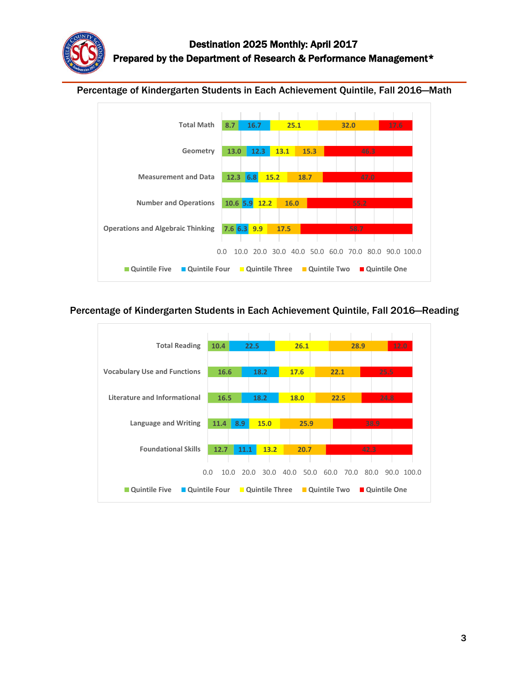# Percentage of Kindergarten Students in Each Achievement Quintile, Fall 2016—Math



## Percentage of Kindergarten Students in Each Achievement Quintile, Fall 2016—Reading

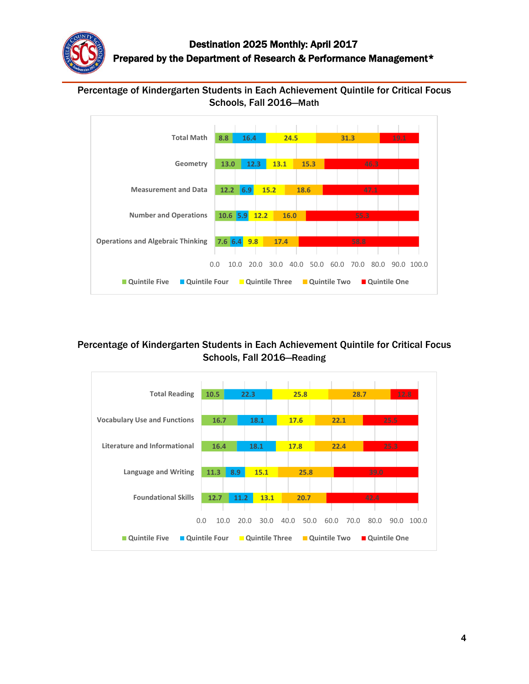

# Percentage of Kindergarten Students in Each Achievement Quintile for Critical Focus Schools, Fall 2016—Math



# Percentage of Kindergarten Students in Each Achievement Quintile for Critical Focus Schools, Fall 2016—Reading

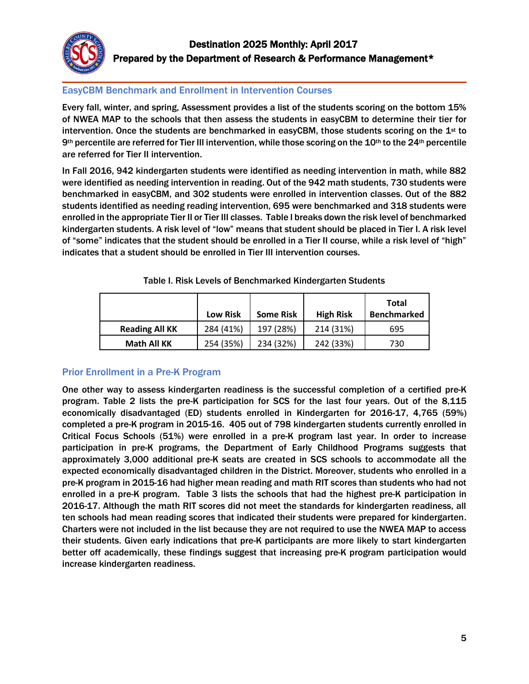

## EasyCBM Benchmark and Enrollment in Intervention Courses

Every fall, winter, and spring, Assessment provides a list of the students scoring on the bottom 15% of NWEA MAP to the schools that then assess the students in easyCBM to determine their tier for intervention. Once the students are benchmarked in easyCBM, those students scoring on the  $1<sup>st</sup>$  to 9th percentile are referred for Tier III intervention, while those scoring on the 10<sup>th</sup> to the 24<sup>th</sup> percentile are referred for Tier II intervention.

In Fall 2016, 942 kindergarten students were identified as needing intervention in math, while 882 were identified as needing intervention in reading. Out of the 942 math students, 730 students were benchmarked in easyCBM, and 302 students were enrolled in intervention classes. Out of the 882 students identified as needing reading intervention, 695 were benchmarked and 318 students were enrolled in the appropriate Tier II or Tier III classes. Table I breaks down the risk level of benchmarked kindergarten students. A risk level of "low" means that student should be placed in Tier I. A risk level of "some" indicates that the student should be enrolled in a Tier II course, while a risk level of "high" indicates that a student should be enrolled in Tier III intervention courses.

|                       | <b>Low Risk</b> | <b>Some Risk</b> | <b>High Risk</b> | Total<br><b>Benchmarked</b> |
|-----------------------|-----------------|------------------|------------------|-----------------------------|
| <b>Reading All KK</b> | 284 (41%)       | 197 (28%)        | 214 (31%)        | 695                         |
| <b>Math All KK</b>    | 254 (35%)       | 234 (32%)        | 242 (33%)        | 730                         |

Table I. Risk Levels of Benchmarked Kindergarten Students

# Prior Enrollment in a Pre-K Program

One other way to assess kindergarten readiness is the successful completion of a certified pre-K program. Table 2 lists the pre-K participation for SCS for the last four years. Out of the 8,115 economically disadvantaged (ED) students enrolled in Kindergarten for 2016-17, 4,765 (59%) completed a pre-K program in 2015-16. 405 out of 798 kindergarten students currently enrolled in Critical Focus Schools (51%) were enrolled in a pre-K program last year. In order to increase participation in pre-K programs, the Department of Early Childhood Programs suggests that approximately 3,000 additional pre-K seats are created in SCS schools to accommodate all the expected economically disadvantaged children in the District. Moreover, students who enrolled in a pre-K program in 2015-16 had higher mean reading and math RIT scores than students who had not enrolled in a pre-K program. Table 3 lists the schools that had the highest pre-K participation in 2016-17. Although the math RIT scores did not meet the standards for kindergarten readiness, all ten schools had mean reading scores that indicated their students were prepared for kindergarten. Charters were not included in the list because they are not required to use the NWEA MAP to access their students. Given early indications that pre-K participants are more likely to start kindergarten better off academically, these findings suggest that increasing pre-K program participation would increase kindergarten readiness.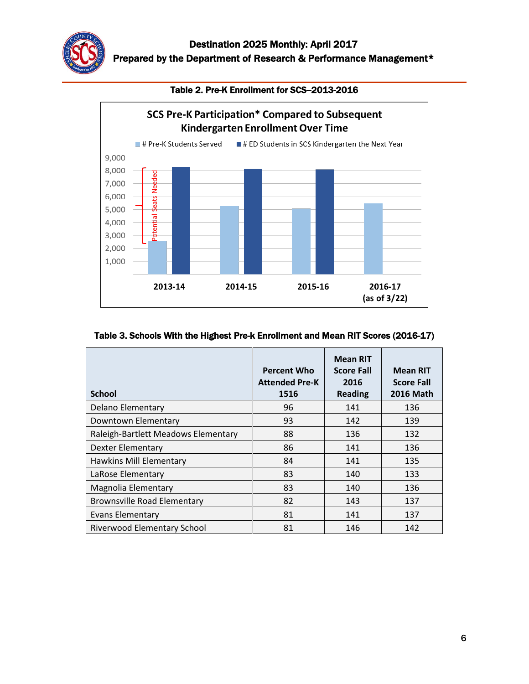

Table 2. Pre-K Enrollment for SCS-2013-2016



#### Table 3. Schools With the Highest Pre-k Enrollment and Mean RIT Scores (2016-17)

| <b>School</b>                       | <b>Percent Who</b><br><b>Attended Pre-K</b><br>1516 | <b>Mean RIT</b><br><b>Score Fall</b><br>2016<br><b>Reading</b> | <b>Mean RIT</b><br><b>Score Fall</b><br><b>2016 Math</b> |
|-------------------------------------|-----------------------------------------------------|----------------------------------------------------------------|----------------------------------------------------------|
| Delano Elementary                   | 96                                                  | 141                                                            | 136                                                      |
| Downtown Elementary                 | 93                                                  | 142                                                            | 139                                                      |
| Raleigh-Bartlett Meadows Elementary | 88                                                  | 136                                                            | 132                                                      |
| Dexter Elementary                   | 86                                                  | 141                                                            | 136                                                      |
| Hawkins Mill Elementary             | 84                                                  | 141                                                            | 135                                                      |
| LaRose Elementary                   | 83                                                  | 140                                                            | 133                                                      |
| Magnolia Elementary                 | 83                                                  | 140                                                            | 136                                                      |
| <b>Brownsville Road Elementary</b>  | 82                                                  | 143                                                            | 137                                                      |
| Evans Elementary                    | 81                                                  | 141                                                            | 137                                                      |
| Riverwood Elementary School         | 81                                                  | 146                                                            | 142                                                      |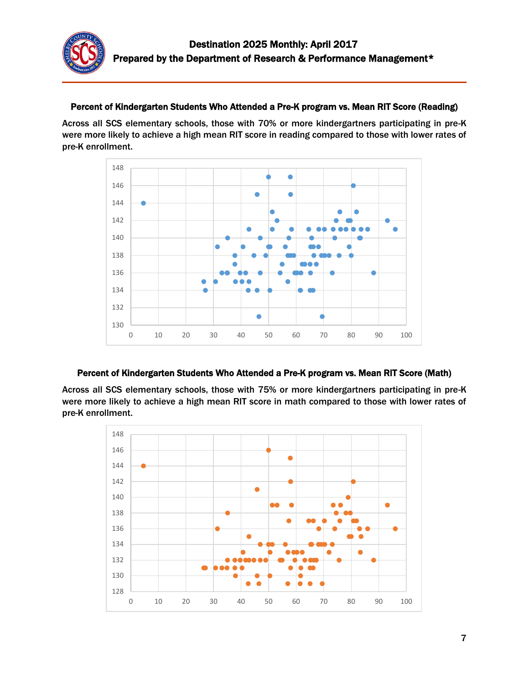

## Percent of Kindergarten Students Who Attended a Pre-K program vs. Mean RIT Score (Reading)

Across all SCS elementary schools, those with 70% or more kindergartners participating in pre-K were more likely to achieve a high mean RIT score in reading compared to those with lower rates of pre-K enrollment.



#### Percent of Kindergarten Students Who Attended a Pre-K program vs. Mean RIT Score (Math)

Across all SCS elementary schools, those with 75% or more kindergartners participating in pre-K were more likely to achieve a high mean RIT score in math compared to those with lower rates of pre-K enrollment.

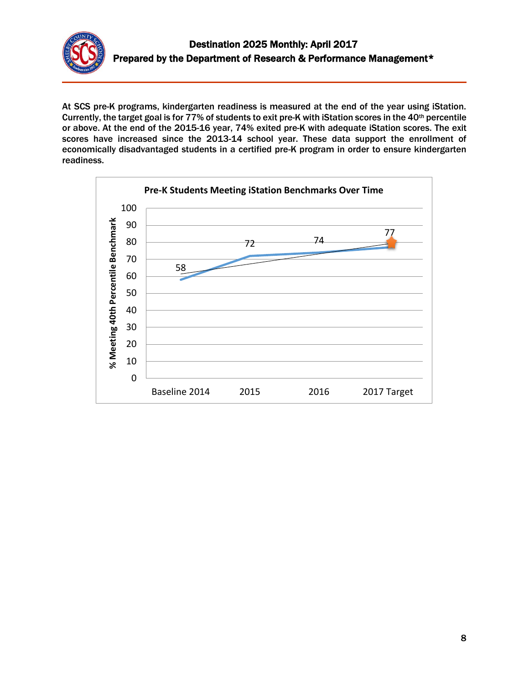

At SCS pre-K programs, kindergarten readiness is measured at the end of the year using iStation. Currently, the target goal is for 77% of students to exit pre-K with iStation scores in the 40<sup>th</sup> percentile or above. At the end of the 2015-16 year, 74% exited pre-K with adequate iStation scores. The exit scores have increased since the 2013-14 school year. These data support the enrollment of economically disadvantaged students in a certified pre-K program in order to ensure kindergarten readiness.

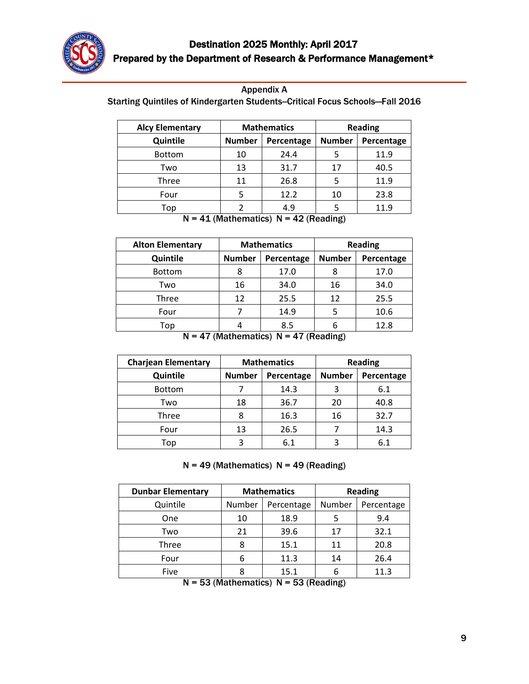

| <b>Appendix A</b> |  |
|-------------------|--|
|                   |  |

Starting Quintiles of Kindergarten Students-Critical Focus Schools-Fall 2016

| <b>Alcy Elementary</b> | <b>Mathematics</b> |            |               | <b>Reading</b> |
|------------------------|--------------------|------------|---------------|----------------|
| Quintile               | <b>Number</b>      | Percentage | <b>Number</b> | Percentage     |
| <b>Bottom</b>          | 10                 | 24.4       |               | 11.9           |
| Two                    | 13                 | 31.7       | 17            | 40.5           |
| Three                  | 11                 | 26.8       |               | 11.9           |
| Four                   |                    | 12.2       | 10            | 23.8           |
| Top                    |                    | 4.9        |               | 11.9           |

 $N = 41$  (Mathematics)  $N = 42$  (Reading)

| <b>Alton Elementary</b> | <b>Mathematics</b> |            |               | <b>Reading</b> |
|-------------------------|--------------------|------------|---------------|----------------|
| Quintile                | <b>Number</b>      | Percentage | <b>Number</b> | Percentage     |
| <b>Bottom</b>           | 8                  | 17.0       |               | 17.0           |
| Two                     | 16                 | 34.0       | 16            | 34.0           |
| Three                   | 12                 | 25.5       | 12            | 25.5           |
| Four                    |                    | 14.9       |               | 10.6           |
| Top                     |                    | 8.5        |               | 12.8           |

 $N = 47$  (Mathematics)  $N = 47$  (Reading)

| <b>Charjean Elementary</b> | <b>Mathematics</b> |            | <b>Reading</b> |            |
|----------------------------|--------------------|------------|----------------|------------|
| Quintile                   | <b>Number</b>      | Percentage | <b>Number</b>  | Percentage |
| <b>Bottom</b>              |                    | 14.3       |                | 6.1        |
| Two                        | 18                 | 36.7       | 20             | 40.8       |
| Three                      |                    | 16.3       | 16             | 32.7       |
| Four                       | 13                 | 26.5       |                | 14.3       |
| Top                        |                    | 6.1        |                | 6.1        |

#### $N = 49$  (Mathematics)  $N = 49$  (Reading)

| <b>Dunbar Elementary</b> | <b>Mathematics</b> |            |        | <b>Reading</b> |
|--------------------------|--------------------|------------|--------|----------------|
| Quintile                 | Number             | Percentage | Number | Percentage     |
| One                      | 10                 | 18.9       |        | 9.4            |
| Two                      | 21                 | 39.6       | 17     | 32.1           |
| Three                    | 8                  | 15.1       | 11     | 20.8           |
| Four                     | 6                  | 11.3       | 14     | 26.4           |
| Five                     |                    | 15.1       | 6      | 11.3           |

 $N = 53$  (Mathematics)  $N = 53$  (Reading)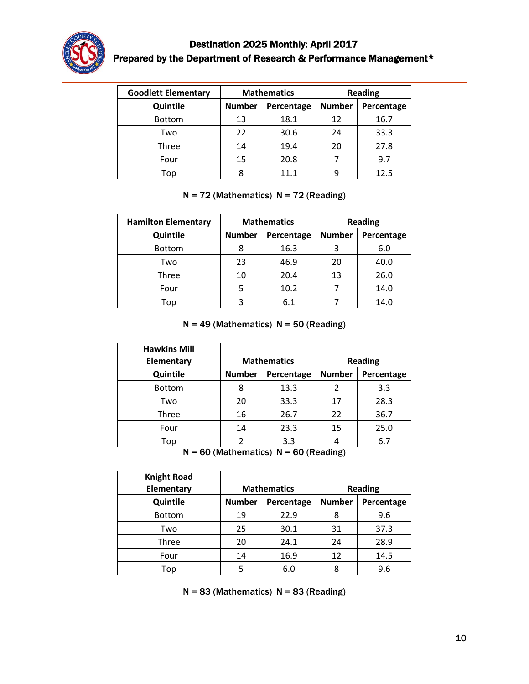

# Destination 2025 Monthly: April 2017 Prepared by the Department of Research & Performance Management\*

| <b>Goodlett Elementary</b> | <b>Mathematics</b> |            |               | <b>Reading</b> |
|----------------------------|--------------------|------------|---------------|----------------|
| Quintile                   | <b>Number</b>      | Percentage | <b>Number</b> | Percentage     |
| <b>Bottom</b>              | 13                 | 18.1       | 12            | 16.7           |
| Two                        | 22                 | 30.6       | 24            | 33.3           |
| Three                      | 14                 | 19.4       | 20            | 27.8           |
| Four                       | 15                 | 20.8       |               | 9.7            |
| Top                        |                    | 11 1       |               | 12.5           |

# $N = 72$  (Mathematics)  $N = 72$  (Reading)

| <b>Hamilton Elementary</b> | <b>Mathematics</b> |            |               | <b>Reading</b> |
|----------------------------|--------------------|------------|---------------|----------------|
| Quintile                   | <b>Number</b>      | Percentage | <b>Number</b> | Percentage     |
| <b>Bottom</b>              |                    | 16.3       | 3             | 6.0            |
| Two                        | 23                 | 46.9       | 20            | 40.0           |
| Three                      | 10                 | 20.4       | 13            | 26.0           |
| Four                       |                    | 10.2       |               | 14.0           |
| Top                        | 3                  | 6.1        |               | 14.0           |

## $N = 49$  (Mathematics)  $N = 50$  (Reading)

| <b>Hawkins Mill</b> |               |                    |               |                |
|---------------------|---------------|--------------------|---------------|----------------|
| Elementary          |               | <b>Mathematics</b> |               | <b>Reading</b> |
| Quintile            | <b>Number</b> | Percentage         | <b>Number</b> | Percentage     |
| <b>Bottom</b>       | 8             | 13.3               |               | 3.3            |
| Two                 | 20            | 33.3               | 17            | 28.3           |
| Three               | 16            | 26.7               | 22            | 36.7           |
| Four                | 14            | 23.3               | 15            | 25.0           |
| Top                 |               | 3.3                |               | 6.7            |

 $N = 60$  (Mathematics)  $N = 60$  (Reading)

| <b>Knight Road</b> |               |                    |               |                |
|--------------------|---------------|--------------------|---------------|----------------|
| Elementary         |               | <b>Mathematics</b> |               | <b>Reading</b> |
| Quintile           | <b>Number</b> | Percentage         | <b>Number</b> | Percentage     |
| <b>Bottom</b>      | 19            | 22.9               | 8             | 9.6            |
| Two                | 25            | 30.1               | 31            | 37.3           |
| Three              | 20            | 24.1               | 24            | 28.9           |
| Four               | 14            | 16.9               | 12            | 14.5           |
| Top                |               | 6.0                | 8             | 9.6            |

 $N = 83$  (Mathematics)  $N = 83$  (Reading)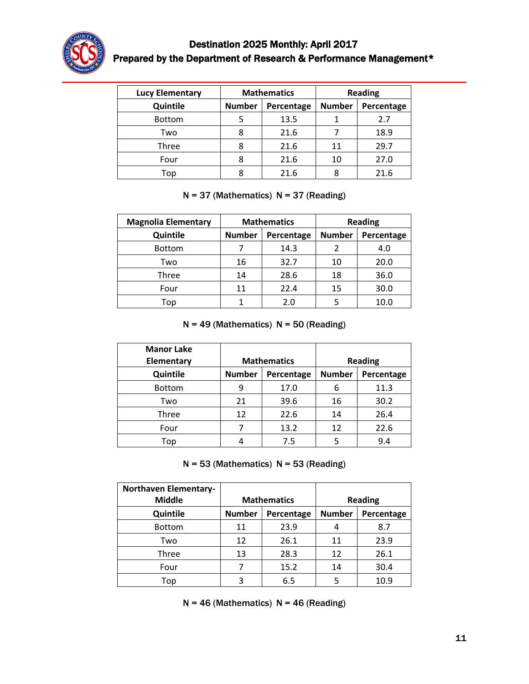

# Destination 2025 Monthly: April 2017 Prepared by the Department of Research & Performance Management\*

| <b>Lucy Elementary</b> | <b>Mathematics</b> |            |               | <b>Reading</b> |
|------------------------|--------------------|------------|---------------|----------------|
| Quintile               | <b>Number</b>      | Percentage | <b>Number</b> | Percentage     |
| <b>Bottom</b>          |                    | 13.5       |               | 2.7            |
| Two                    | 8                  | 21.6       |               | 18.9           |
| Three                  |                    | 21.6       | 11            | 29.7           |
| Four                   |                    | 21.6       | 10            | 27.0           |
| Top                    |                    | 21.6       |               | 21.6           |

## $N = 37$  (Mathematics)  $N = 37$  (Reading)

| <b>Magnolia Elementary</b> | <b>Mathematics</b> |            | <b>Reading</b> |            |
|----------------------------|--------------------|------------|----------------|------------|
| Quintile                   | <b>Number</b>      | Percentage | <b>Number</b>  | Percentage |
| <b>Bottom</b>              |                    | 14.3       |                | 4.0        |
| Two                        | 16                 | 32.7       | 10             | 20.0       |
| Three                      | 14                 | 28.6       | 18             | 36.0       |
| Four                       | 11                 | 22.4       | 15             | 30.0       |
| Top                        |                    | 2.0        |                | 10.0       |

## $N = 49$  (Mathematics)  $N = 50$  (Reading)

| <b>Manor Lake</b><br>Elementary | <b>Mathematics</b> |            | <b>Reading</b> |            |
|---------------------------------|--------------------|------------|----------------|------------|
| Quintile                        | <b>Number</b>      | Percentage | <b>Number</b>  | Percentage |
| <b>Bottom</b>                   | 9                  | 17.0       | 6              | 11.3       |
| Two                             | 21                 | 39.6       | 16             | 30.2       |
| Three                           | 12                 | 22.6       | 14             | 26.4       |
| Four                            |                    | 13.2       | 12             | 22.6       |
| Top                             |                    | 7.5        | 5              | 9.4        |

 $N = 53$  (Mathematics)  $N = 53$  (Reading)

| <b>Northaven Elementary-</b><br><b>Middle</b> | <b>Mathematics</b> |            | <b>Reading</b> |            |
|-----------------------------------------------|--------------------|------------|----------------|------------|
| Quintile                                      | <b>Number</b>      | Percentage | <b>Number</b>  | Percentage |
| <b>Bottom</b>                                 | 11                 | 23.9       | 4              | 8.7        |
| Two                                           | 12                 | 26.1       | 11             | 23.9       |
| Three                                         | 13                 | 28.3       | 12             | 26.1       |
| Four                                          |                    | 15.2       | 14             | 30.4       |
| Top                                           | 3                  | 6.5        | 5              | 10.9       |

 $N = 46$  (Mathematics)  $N = 46$  (Reading)